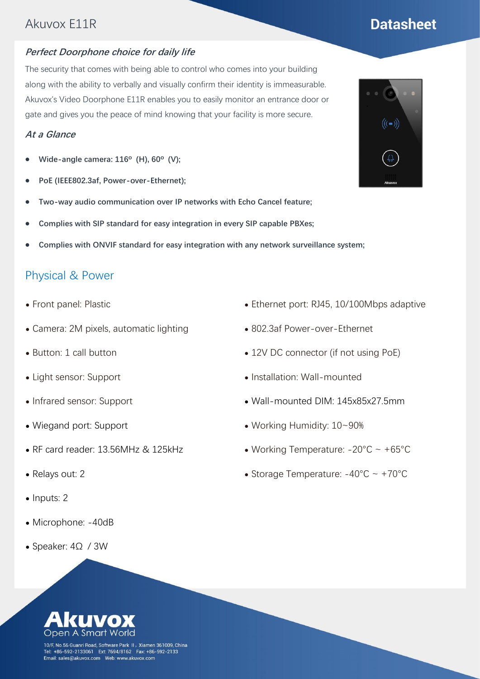## Akuvox E11R

#### **Perfect Doorphone choice for daily life**

The security that comes with being able to control who comes into your building along with the ability to verbally and visually confirm their identity is immeasurable. Akuvox's Video Doorphone E11R enables you to easily monitor an entrance door or gate and gives you the peace of mind knowing that your facility is more secure.

#### **At a Glance**

- ⚫ **Wide-angle camera: 116º (H), 60º (V);**
- ⚫ **PoE (IEEE802.3af, Power-over-Ethernet);**
- ⚫ **Two-way audio communication over IP networks with Echo Cancel feature;**
- ⚫ **Complies with SIP standard for easy integration in every SIP capable PBXes;**
- ⚫ **Complies with ONVIF standard for easy integration with any network surveillance system;**

#### Physical & Power

- ⚫ Front panel: Plastic
- ⚫ Camera: 2M pixels, automatic lighting
- ⚫ Button: 1 call button
- ⚫ Light sensor: Support
- ⚫ Infrared sensor: Support
- ⚫ Wiegand port: Support
- ⚫ RF card reader: 13.56MHz & 125kHz
- ⚫ Relays out: 2
- Inputs: 2
- ⚫ Microphone: -40dB
- ⚫ Speaker: 4Ω / 3W
- ⚫ Ethernet port: RJ45, 10/100Mbps adaptive
- ⚫ 802.3af Power-over-Ethernet
- 12V DC connector (if not using PoE)
- ⚫ Installation: Wall-mounted
- ⚫ Wall-mounted DIM: 145x85x27.5mm
- ⚫ Working Humidity: 10~90%
- Working Temperature:  $-20^{\circ}$ C ~  $+65^{\circ}$ C
- Storage Temperature:  $-40^{\circ}$ C ~  $+70^{\circ}$ C



# **Datasheet**



10/F, No.56 Guanri Road, Software Park II, Xiamen 361009, China +86-592-2133061 Ext: 7694/8162 Fax: +86-592-2133